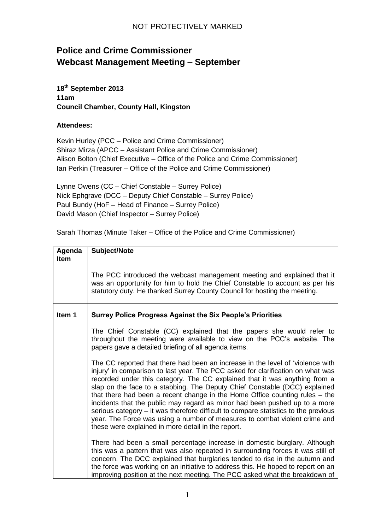## NOT PROTECTIVELY MARKED

## **Police and Crime Commissioner Webcast Management Meeting – September**

**18th September 2013 11am Council Chamber, County Hall, Kingston**

## **Attendees:**

Kevin Hurley (PCC – Police and Crime Commissioner) Shiraz Mirza (APCC – Assistant Police and Crime Commissioner) Alison Bolton (Chief Executive – Office of the Police and Crime Commissioner) Ian Perkin (Treasurer – Office of the Police and Crime Commissioner)

Lynne Owens (CC – Chief Constable – Surrey Police) Nick Ephgrave (DCC – Deputy Chief Constable – Surrey Police) Paul Bundy (HoF – Head of Finance – Surrey Police) David Mason (Chief Inspector – Surrey Police)

Sarah Thomas (Minute Taker – Office of the Police and Crime Commissioner)

| Agenda<br><b>Item</b> | Subject/Note                                                                                                                                                                                                                                                                                                                                                                                                                                                                                                                                                                                                                                                                                                          |
|-----------------------|-----------------------------------------------------------------------------------------------------------------------------------------------------------------------------------------------------------------------------------------------------------------------------------------------------------------------------------------------------------------------------------------------------------------------------------------------------------------------------------------------------------------------------------------------------------------------------------------------------------------------------------------------------------------------------------------------------------------------|
|                       | The PCC introduced the webcast management meeting and explained that it<br>was an opportunity for him to hold the Chief Constable to account as per his<br>statutory duty. He thanked Surrey County Council for hosting the meeting.                                                                                                                                                                                                                                                                                                                                                                                                                                                                                  |
| Item 1                | <b>Surrey Police Progress Against the Six People's Priorities</b>                                                                                                                                                                                                                                                                                                                                                                                                                                                                                                                                                                                                                                                     |
|                       | The Chief Constable (CC) explained that the papers she would refer to<br>throughout the meeting were available to view on the PCC's website. The<br>papers gave a detailed briefing of all agenda items.                                                                                                                                                                                                                                                                                                                                                                                                                                                                                                              |
|                       | The CC reported that there had been an increase in the level of 'violence with<br>injury' in comparison to last year. The PCC asked for clarification on what was<br>recorded under this category. The CC explained that it was anything from a<br>slap on the face to a stabbing. The Deputy Chief Constable (DCC) explained<br>that there had been a recent change in the Home Office counting rules – the<br>incidents that the public may regard as minor had been pushed up to a more<br>serious category – it was therefore difficult to compare statistics to the previous<br>year. The Force was using a number of measures to combat violent crime and<br>these were explained in more detail in the report. |
|                       | There had been a small percentage increase in domestic burglary. Although<br>this was a pattern that was also repeated in surrounding forces it was still of<br>concern. The DCC explained that burglaries tended to rise in the autumn and<br>the force was working on an initiative to address this. He hoped to report on an<br>improving position at the next meeting. The PCC asked what the breakdown of                                                                                                                                                                                                                                                                                                        |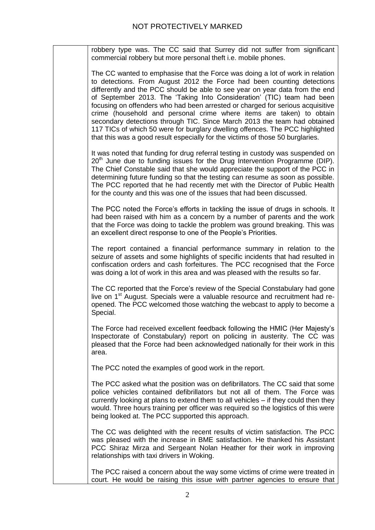|       | robbery type was. The CC said that Surrey did not suffer from significant<br>commercial robbery but more personal theft i.e. mobile phones.                                                                                                                                                                                                                                                                                                                                                                                                                                                                                                                                                                                |
|-------|----------------------------------------------------------------------------------------------------------------------------------------------------------------------------------------------------------------------------------------------------------------------------------------------------------------------------------------------------------------------------------------------------------------------------------------------------------------------------------------------------------------------------------------------------------------------------------------------------------------------------------------------------------------------------------------------------------------------------|
|       | The CC wanted to emphasise that the Force was doing a lot of work in relation<br>to detections. From August 2012 the Force had been counting detections<br>differently and the PCC should be able to see year on year data from the end<br>of September 2013. The 'Taking Into Consideration' (TIC) team had been<br>focusing on offenders who had been arrested or charged for serious acquisitive<br>crime (household and personal crime where items are taken) to obtain<br>secondary detections through TIC. Since March 2013 the team had obtained<br>117 TICs of which 50 were for burglary dwelling offences. The PCC highlighted<br>that this was a good result especially for the victims of those 50 burglaries. |
|       | It was noted that funding for drug referral testing in custody was suspended on<br>20 <sup>th</sup> June due to funding issues for the Drug Intervention Programme (DIP).<br>The Chief Constable said that she would appreciate the support of the PCC in<br>determining future funding so that the testing can resume as soon as possible.<br>The PCC reported that he had recently met with the Director of Public Health<br>for the county and this was one of the issues that had been discussed.                                                                                                                                                                                                                      |
|       | The PCC noted the Force's efforts in tackling the issue of drugs in schools. It<br>had been raised with him as a concern by a number of parents and the work<br>that the Force was doing to tackle the problem was ground breaking. This was<br>an excellent direct response to one of the People's Priorities.                                                                                                                                                                                                                                                                                                                                                                                                            |
|       | The report contained a financial performance summary in relation to the<br>seizure of assets and some highlights of specific incidents that had resulted in<br>confiscation orders and cash forfeitures. The PCC recognised that the Force<br>was doing a lot of work in this area and was pleased with the results so far.                                                                                                                                                                                                                                                                                                                                                                                                |
|       | The CC reported that the Force's review of the Special Constabulary had gone<br>live on 1 <sup>st</sup> August. Specials were a valuable resource and recruitment had re-<br>opened. The PCC welcomed those watching the webcast to apply to become a<br>Special.                                                                                                                                                                                                                                                                                                                                                                                                                                                          |
| area. | The Force had received excellent feedback following the HMIC (Her Majesty's<br>Inspectorate of Constabulary) report on policing in austerity. The CC was<br>pleased that the Force had been acknowledged nationally for their work in this                                                                                                                                                                                                                                                                                                                                                                                                                                                                                 |
|       | The PCC noted the examples of good work in the report.                                                                                                                                                                                                                                                                                                                                                                                                                                                                                                                                                                                                                                                                     |
|       | The PCC asked what the position was on defibrillators. The CC said that some<br>police vehicles contained defibrillators but not all of them. The Force was<br>currently looking at plans to extend them to all vehicles – if they could then they<br>would. Three hours training per officer was required so the logistics of this were<br>being looked at. The PCC supported this approach.                                                                                                                                                                                                                                                                                                                              |
|       | The CC was delighted with the recent results of victim satisfaction. The PCC<br>was pleased with the increase in BME satisfaction. He thanked his Assistant<br>PCC Shiraz Mirza and Sergeant Nolan Heather for their work in improving<br>relationships with taxi drivers in Woking.                                                                                                                                                                                                                                                                                                                                                                                                                                       |
|       | The PCC raised a concern about the way some victims of crime were treated in<br>court. He would be raising this issue with partner agencies to ensure that                                                                                                                                                                                                                                                                                                                                                                                                                                                                                                                                                                 |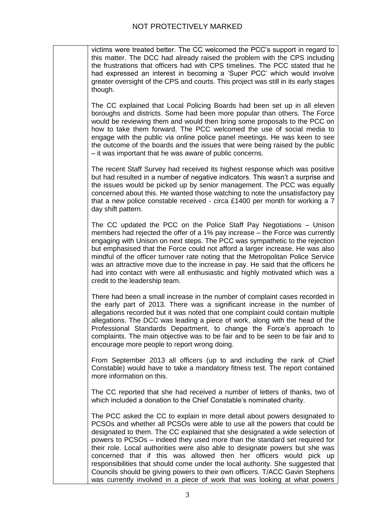victims were treated better. The CC welcomed the PCC's support in regard to this matter. The DCC had already raised the problem with the CPS including the frustrations that officers had with CPS timelines. The PCC stated that he had expressed an interest in becoming a 'Super PCC' which would involve greater oversight of the CPS and courts. This project was still in its early stages though.

The CC explained that Local Policing Boards had been set up in all eleven boroughs and districts. Some had been more popular than others. The Force would be reviewing them and would then bring some proposals to the PCC on how to take them forward. The PCC welcomed the use of social media to engage with the public via online police panel meetings. He was keen to see the outcome of the boards and the issues that were being raised by the public – it was important that he was aware of public concerns.

The recent Staff Survey had received its highest response which was positive but had resulted in a number of negative indicators. This wasn't a surprise and the issues would be picked up by senior management. The PCC was equally concerned about this. He wanted those watching to note the unsatisfactory pay that a new police constable received - circa £1400 per month for working a 7 day shift pattern.

The CC updated the PCC on the Police Staff Pay Negotiations – Unison members had rejected the offer of a 1% pay increase – the Force was currently engaging with Unison on next steps. The PCC was sympathetic to the rejection but emphasised that the Force could not afford a larger increase. He was also mindful of the officer turnover rate noting that the Metropolitan Police Service was an attractive move due to the increase in pay. He said that the officers he had into contact with were all enthusiastic and highly motivated which was a credit to the leadership team.

There had been a small increase in the number of complaint cases recorded in the early part of 2013. There was a significant increase in the number of allegations recorded but it was noted that one complaint could contain multiple allegations. The DCC was leading a piece of work, along with the head of the Professional Standards Department, to change the Force's approach to complaints. The main objective was to be fair and to be seen to be fair and to encourage more people to report wrong doing.

From September 2013 all officers (up to and including the rank of Chief Constable) would have to take a mandatory fitness test. The report contained more information on this.

The CC reported that she had received a number of letters of thanks, two of which included a donation to the Chief Constable's nominated charity.

The PCC asked the CC to explain in more detail about powers designated to PCSOs and whether all PCSOs were able to use all the powers that could be designated to them. The CC explained that she designated a wide selection of powers to PCSOs – indeed they used more than the standard set required for their role. Local authorities were also able to designate powers but she was concerned that if this was allowed then her officers would pick up responsibilities that should come under the local authority. She suggested that Councils should be giving powers to their own officers. T/ACC Gavin Stephens was currently involved in a piece of work that was looking at what powers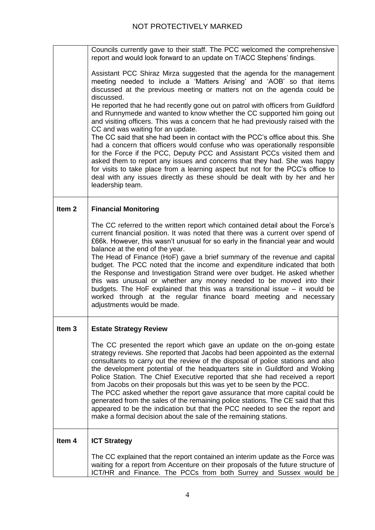|                   | Councils currently gave to their staff. The PCC welcomed the comprehensive<br>report and would look forward to an update on T/ACC Stephens' findings.<br>Assistant PCC Shiraz Mirza suggested that the agenda for the management<br>meeting needed to include a 'Matters Arising' and 'AOB' so that items<br>discussed at the previous meeting or matters not on the agenda could be<br>discussed.<br>He reported that he had recently gone out on patrol with officers from Guildford<br>and Runnymede and wanted to know whether the CC supported him going out<br>and visiting officers. This was a concern that he had previously raised with the<br>CC and was waiting for an update.<br>The CC said that she had been in contact with the PCC's office about this. She<br>had a concern that officers would confuse who was operationally responsible<br>for the Force if the PCC, Deputy PCC and Assistant PCCs visited them and<br>asked them to report any issues and concerns that they had. She was happy<br>for visits to take place from a learning aspect but not for the PCC's office to<br>deal with any issues directly as these should be dealt with by her and her<br>leadership team. |
|-------------------|-----------------------------------------------------------------------------------------------------------------------------------------------------------------------------------------------------------------------------------------------------------------------------------------------------------------------------------------------------------------------------------------------------------------------------------------------------------------------------------------------------------------------------------------------------------------------------------------------------------------------------------------------------------------------------------------------------------------------------------------------------------------------------------------------------------------------------------------------------------------------------------------------------------------------------------------------------------------------------------------------------------------------------------------------------------------------------------------------------------------------------------------------------------------------------------------------------------|
| Item <sub>2</sub> | <b>Financial Monitoring</b>                                                                                                                                                                                                                                                                                                                                                                                                                                                                                                                                                                                                                                                                                                                                                                                                                                                                                                                                                                                                                                                                                                                                                                               |
|                   | The CC referred to the written report which contained detail about the Force's<br>current financial position. It was noted that there was a current over spend of<br>£66k. However, this wasn't unusual for so early in the financial year and would<br>balance at the end of the year.<br>The Head of Finance (HoF) gave a brief summary of the revenue and capital<br>budget. The PCC noted that the income and expenditure indicated that both<br>the Response and Investigation Strand were over budget. He asked whether<br>this was unusual or whether any money needed to be moved into their<br>budgets. The HoF explained that this was a transitional issue – it would be<br>worked through at the regular finance board meeting and necessary<br>adjustments would be made.                                                                                                                                                                                                                                                                                                                                                                                                                    |
| Item <sub>3</sub> | <b>Estate Strategy Review</b>                                                                                                                                                                                                                                                                                                                                                                                                                                                                                                                                                                                                                                                                                                                                                                                                                                                                                                                                                                                                                                                                                                                                                                             |
|                   | The CC presented the report which gave an update on the on-going estate<br>strategy reviews. She reported that Jacobs had been appointed as the external<br>consultants to carry out the review of the disposal of police stations and also<br>the development potential of the headquarters site in Guildford and Woking<br>Police Station. The Chief Executive reported that she had received a report<br>from Jacobs on their proposals but this was yet to be seen by the PCC.<br>The PCC asked whether the report gave assurance that more capital could be<br>generated from the sales of the remaining police stations. The CE said that this<br>appeared to be the indication but that the PCC needed to see the report and<br>make a formal decision about the sale of the remaining stations.                                                                                                                                                                                                                                                                                                                                                                                                   |
| Item 4            | <b>ICT Strategy</b>                                                                                                                                                                                                                                                                                                                                                                                                                                                                                                                                                                                                                                                                                                                                                                                                                                                                                                                                                                                                                                                                                                                                                                                       |
|                   | The CC explained that the report contained an interim update as the Force was<br>waiting for a report from Accenture on their proposals of the future structure of<br>ICT/HR and Finance. The PCCs from both Surrey and Sussex would be                                                                                                                                                                                                                                                                                                                                                                                                                                                                                                                                                                                                                                                                                                                                                                                                                                                                                                                                                                   |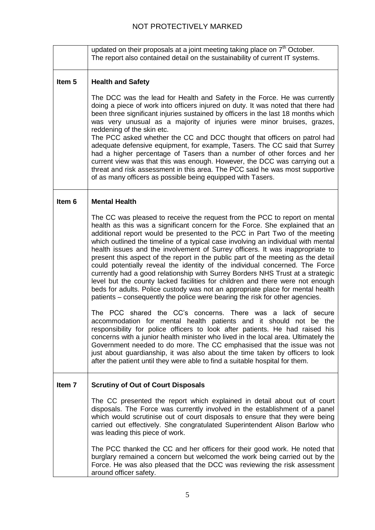|                   | updated on their proposals at a joint meeting taking place on 7 <sup>th</sup> October.<br>The report also contained detail on the sustainability of current IT systems.                                                                                                                                                                                                                                                                                                                                                                                                                                                                                                                                                                                                                                                                                                                                                   |
|-------------------|---------------------------------------------------------------------------------------------------------------------------------------------------------------------------------------------------------------------------------------------------------------------------------------------------------------------------------------------------------------------------------------------------------------------------------------------------------------------------------------------------------------------------------------------------------------------------------------------------------------------------------------------------------------------------------------------------------------------------------------------------------------------------------------------------------------------------------------------------------------------------------------------------------------------------|
| Item <sub>5</sub> | <b>Health and Safety</b>                                                                                                                                                                                                                                                                                                                                                                                                                                                                                                                                                                                                                                                                                                                                                                                                                                                                                                  |
|                   | The DCC was the lead for Health and Safety in the Force. He was currently<br>doing a piece of work into officers injured on duty. It was noted that there had<br>been three significant injuries sustained by officers in the last 18 months which<br>was very unusual as a majority of injuries were minor bruises, grazes,<br>reddening of the skin etc.<br>The PCC asked whether the CC and DCC thought that officers on patrol had<br>adequate defensive equipment, for example, Tasers. The CC said that Surrey<br>had a higher percentage of Tasers than a number of other forces and her<br>current view was that this was enough. However, the DCC was carrying out a<br>threat and risk assessment in this area. The PCC said he was most supportive<br>of as many officers as possible being equipped with Tasers.                                                                                              |
| Item 6            | <b>Mental Health</b>                                                                                                                                                                                                                                                                                                                                                                                                                                                                                                                                                                                                                                                                                                                                                                                                                                                                                                      |
|                   | The CC was pleased to receive the request from the PCC to report on mental<br>health as this was a significant concern for the Force. She explained that an<br>additional report would be presented to the PCC in Part Two of the meeting<br>which outlined the timeline of a typical case involving an individual with mental<br>health issues and the involvement of Surrey officers. It was inappropriate to<br>present this aspect of the report in the public part of the meeting as the detail<br>could potentially reveal the identity of the individual concerned. The Force<br>currently had a good relationship with Surrey Borders NHS Trust at a strategic<br>level but the county lacked facilities for children and there were not enough<br>beds for adults. Police custody was not an appropriate place for mental health<br>patients – consequently the police were bearing the risk for other agencies. |
|                   | The PCC shared the CC's concerns. There was a lack of secure<br>accommodation for mental health patients and it should not be the<br>responsibility for police officers to look after patients. He had raised his<br>concerns with a junior health minister who lived in the local area. Ultimately the<br>Government needed to do more. The CC emphasised that the issue was not<br>just about guardianship, it was also about the time taken by officers to look<br>after the patient until they were able to find a suitable hospital for them.                                                                                                                                                                                                                                                                                                                                                                        |
| Item <sub>7</sub> | <b>Scrutiny of Out of Court Disposals</b>                                                                                                                                                                                                                                                                                                                                                                                                                                                                                                                                                                                                                                                                                                                                                                                                                                                                                 |
|                   | The CC presented the report which explained in detail about out of court<br>disposals. The Force was currently involved in the establishment of a panel<br>which would scrutinise out of court disposals to ensure that they were being<br>carried out effectively. She congratulated Superintendent Alison Barlow who<br>was leading this piece of work.                                                                                                                                                                                                                                                                                                                                                                                                                                                                                                                                                                 |
|                   | The PCC thanked the CC and her officers for their good work. He noted that<br>burglary remained a concern but welcomed the work being carried out by the<br>Force. He was also pleased that the DCC was reviewing the risk assessment<br>around officer safety.                                                                                                                                                                                                                                                                                                                                                                                                                                                                                                                                                                                                                                                           |